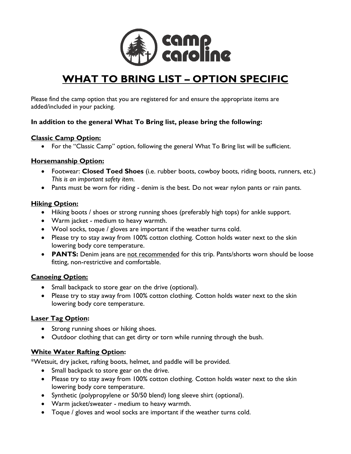

# **WHAT TO BRING LIST – OPTION SPECIFIC**

Please find the camp option that you are registered for and ensure the appropriate items are added/included in your packing.

## **In addition to the general What To Bring list, please bring the following:**

### **Classic Camp Option:**

For the "Classic Camp" option, following the general What To Bring list will be sufficient.

### **Horsemanship Option:**

- Footwear: **Closed Toed Shoes** (i.e. rubber boots, cowboy boots, riding boots, runners, etc.) *This is an important safety item.*
- Pants must be worn for riding denim is the best. Do not wear nylon pants or rain pants.

#### **Hiking Option:**

- Hiking boots / shoes or strong running shoes (preferably high tops) for ankle support.
- Warm jacket medium to heavy warmth.
- Wool socks, toque / gloves are important if the weather turns cold.
- Please try to stay away from 100% cotton clothing. Cotton holds water next to the skin lowering body core temperature.
- **PANTS:** Denim jeans are not recommended for this trip. Pants/shorts worn should be loose fitting, non-restrictive and comfortable.

### **Canoeing Option:**

- Small backpack to store gear on the drive (optional).
- Please try to stay away from 100% cotton clothing. Cotton holds water next to the skin lowering body core temperature.

### **Laser Tag Option:**

- Strong running shoes or hiking shoes.
- Outdoor clothing that can get dirty or torn while running through the bush.

### **White Water Rafting Option:**

\*Wetsuit, dry jacket, rafting boots, helmet, and paddle will be provided.

- Small backpack to store gear on the drive.
- Please try to stay away from 100% cotton clothing. Cotton holds water next to the skin lowering body core temperature.
- Synthetic (polypropylene or 50/50 blend) long sleeve shirt (optional).
- Warm jacket/sweater medium to heavy warmth.
- Toque / gloves and wool socks are important if the weather turns cold.